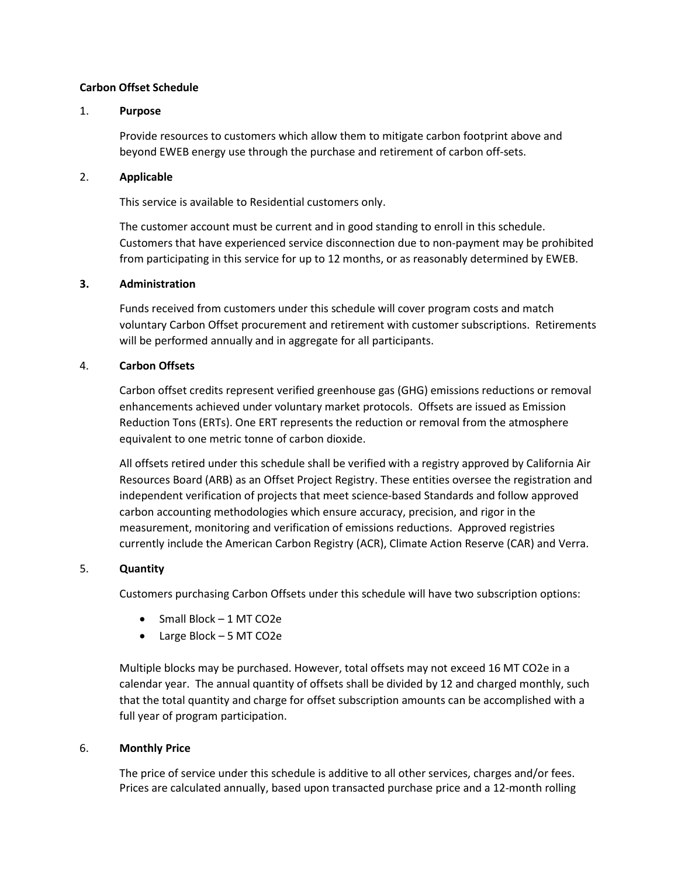### **Carbon Offset Schedule**

### 1. **Purpose**

Provide resources to customers which allow them to mitigate carbon footprint above and beyond EWEB energy use through the purchase and retirement of carbon off-sets.

### 2. **Applicable**

This service is available to Residential customers only.

The customer account must be current and in good standing to enroll in this schedule. Customers that have experienced service disconnection due to non-payment may be prohibited from participating in this service for up to 12 months, or as reasonably determined by EWEB.

### **3. Administration**

Funds received from customers under this schedule will cover program costs and match voluntary Carbon Offset procurement and retirement with customer subscriptions. Retirements will be performed annually and in aggregate for all participants.

### 4. **Carbon Offsets**

Carbon offset credits represent verified greenhouse gas (GHG) emissions reductions or removal enhancements achieved under voluntary market protocols. Offsets are issued as Emission Reduction Tons (ERTs). One ERT represents the reduction or removal from the atmosphere equivalent to one metric tonne of carbon dioxide.

All offsets retired under this schedule shall be verified with a registry approved by California Air Resources Board (ARB) as an Offset Project Registry. These entities oversee the registration and independent verification of projects that meet science-based Standards and follow approved carbon accounting methodologies which ensure accuracy, precision, and rigor in the measurement, monitoring and verification of emissions reductions. Approved registries currently include the American Carbon Registry (ACR), Climate Action Reserve (CAR) and Verra.

# 5. **Quantity**

Customers purchasing Carbon Offsets under this schedule will have two subscription options:

- Small Block 1 MT CO2e
- Large Block 5 MT CO2e

Multiple blocks may be purchased. However, total offsets may not exceed 16 MT CO2e in a calendar year. The annual quantity of offsets shall be divided by 12 and charged monthly, such that the total quantity and charge for offset subscription amounts can be accomplished with a full year of program participation.

# 6. **Monthly Price**

The price of service under this schedule is additive to all other services, charges and/or fees. Prices are calculated annually, based upon transacted purchase price and a 12-month rolling